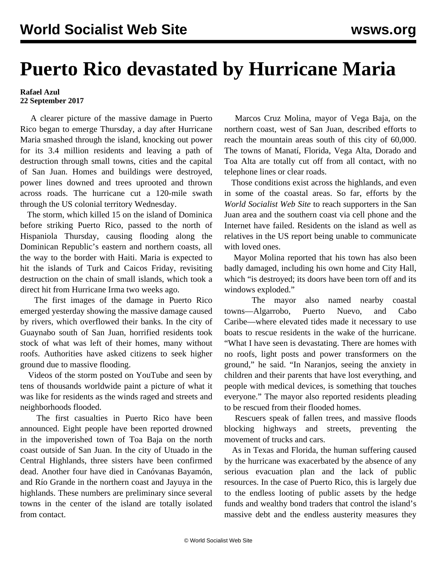## **Puerto Rico devastated by Hurricane Maria**

**Rafael Azul 22 September 2017**

 A clearer picture of the massive damage in Puerto Rico began to emerge Thursday, a day after Hurricane Maria smashed through the island, knocking out power for its 3.4 million residents and leaving a path of destruction through small towns, cities and the capital of San Juan. Homes and buildings were destroyed, power lines downed and trees uprooted and thrown across roads. The hurricane cut a 120-mile swath through the US colonial territory Wednesday.

 The storm, which killed 15 on the island of Dominica before striking Puerto Rico, passed to the north of Hispaniola Thursday, causing flooding along the Dominican Republic's eastern and northern coasts, all the way to the border with Haiti. Maria is expected to hit the islands of Turk and Caicos Friday, revisiting destruction on the chain of small islands, which took a direct hit from Hurricane Irma two weeks ago.

 The first images of the damage in Puerto Rico emerged yesterday showing the massive damage caused by rivers, which overflowed their banks. In the city of [Guaynabo](http://www.elnuevodia.com/videos/noticias/locales/estremecedorarealidadloperdierontodoperotodaviatienenesperanza-video-241596/) south of San Juan, horrified residents took stock of what was left of their homes, many without roofs. Authorities have asked citizens to seek higher ground due to massive flooding.

 [Videos](https://www.youtube.com/watch?v=iKh7hLMgo04) of the storm posted on YouTube and seen by tens of thousands worldwide paint a picture of what it was like for residents as the winds raged and streets and neighborhoods flooded.

 The first casualties in Puerto Rico have been announced. Eight people have been reported drowned in the impoverished town of Toa Baja on the north coast outside of San Juan. In the city of Utuado in the Central Highlands, three sisters have been confirmed dead. Another four have died in Canóvanas Bayamón, and Río Grande in the northern coast and Jayuya in the highlands. These numbers are preliminary since several towns in the center of the island are totally isolated from contact.

 Marcos Cruz Molina, mayor of Vega Baja, on the northern coast, west of San Juan, described efforts to reach the mountain areas south of this city of 60,000. The towns of Manatí, Florida, Vega Alta, Dorado and Toa Alta are totally cut off from all contact, with no telephone lines or clear roads.

 Those conditions exist across the highlands, and even in some of the coastal areas. So far, efforts by the *World Socialist Web Site* to reach supporters in the San Juan area and the southern coast via cell phone and the Internet have failed. Residents on the island as well as relatives in the US report being unable to communicate with loved ones.

 Mayor Molina reported that his town has also been badly damaged, including his own home and City Hall, which "is destroyed; its doors have been torn off and its windows exploded."

 The mayor also named nearby coastal towns—Algarrobo, Puerto Nuevo, and Cabo Caribe—where elevated tides made it necessary to use boats to rescue residents in the wake of the hurricane. "What I have seen is devastating. There are homes with no roofs, light posts and power transformers on the ground," he said. "In Naranjos, seeing the anxiety in children and their parents that have lost everything, and people with medical devices, is something that touches everyone." The mayor also reported residents pleading to be rescued from their flooded homes.

 Rescuers speak of fallen trees, and massive floods blocking highways and streets, preventing the movement of trucks and cars.

 As in Texas and Florida, the human suffering caused by the hurricane was exacerbated by the absence of any serious evacuation plan and the lack of public resources. In the case of Puerto Rico, this is largely due to the endless looting of public assets by the hedge funds and wealthy bond traders that control the island's massive debt and the endless austerity measures they